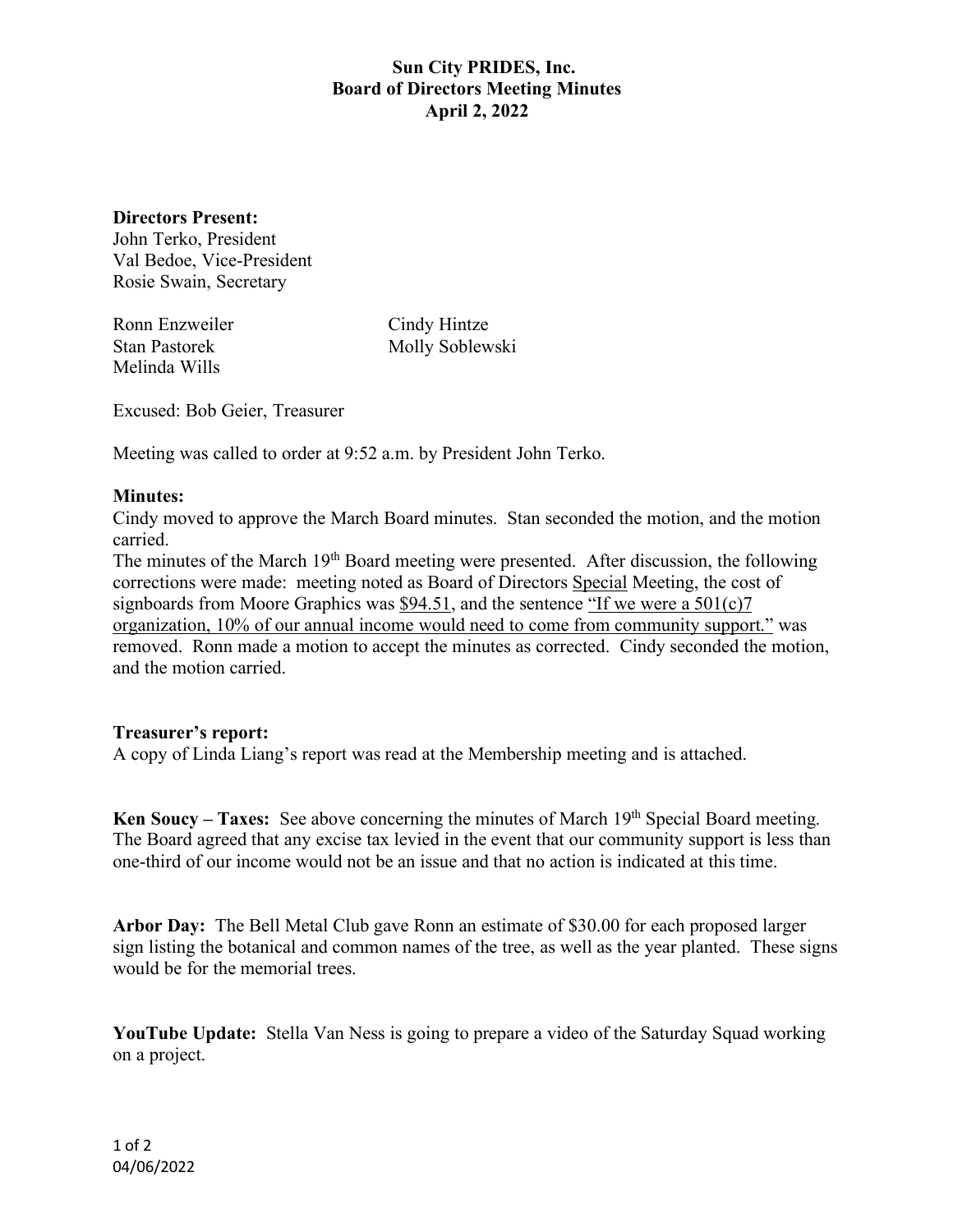## **Sun City PRIDES, Inc. Board of Directors Meeting Minutes April 2, 2022**

**Directors Present:**

John Terko, President Val Bedoe, Vice-President Rosie Swain, Secretary

Ronn Enzweiler Cindy Hintze Melinda Wills

Stan Pastorek Molly Soblewski

Excused: Bob Geier, Treasurer

Meeting was called to order at 9:52 a.m. by President John Terko.

## **Minutes:**

Cindy moved to approve the March Board minutes. Stan seconded the motion, and the motion carried.

The minutes of the March 19<sup>th</sup> Board meeting were presented. After discussion, the following corrections were made: meeting noted as Board of Directors Special Meeting, the cost of signboards from Moore Graphics was \$94.51, and the sentence "If we were a  $501(c)7$ " organization, 10% of our annual income would need to come from community support." was removed. Ronn made a motion to accept the minutes as corrected. Cindy seconded the motion, and the motion carried.

## **Treasurer's report:**

A copy of Linda Liang's report was read at the Membership meeting and is attached.

**Ken Soucy – Taxes:** See above concerning the minutes of March 19th Special Board meeting. The Board agreed that any excise tax levied in the event that our community support is less than one-third of our income would not be an issue and that no action is indicated at this time.

**Arbor Day:** The Bell Metal Club gave Ronn an estimate of \$30.00 for each proposed larger sign listing the botanical and common names of the tree, as well as the year planted. These signs would be for the memorial trees.

**YouTube Update:** Stella Van Ness is going to prepare a video of the Saturday Squad working on a project.